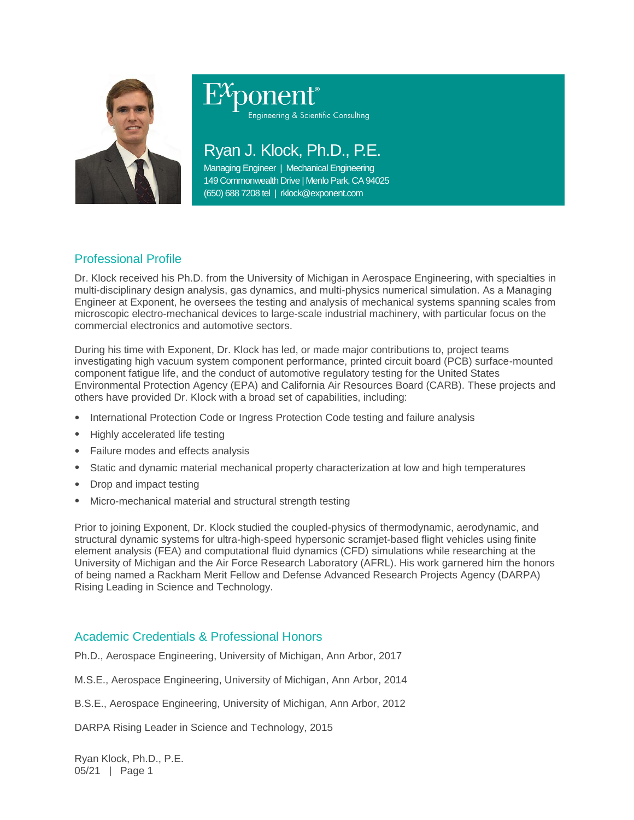

# ponent® Engineering & Scientific Consulting

Ryan J. Klock, Ph.D., P.E.

Managing Engineer | Mechanical Engineering 149 Commonwealth Drive | Menlo Park, CA 94025 (650) 688 7208 tel | rklock@exponent.com

## Professional Profile

Dr. Klock received his Ph.D. from the University of Michigan in Aerospace Engineering, with specialties in multi-disciplinary design analysis, gas dynamics, and multi-physics numerical simulation. As a Managing Engineer at Exponent, he oversees the testing and analysis of mechanical systems spanning scales from microscopic electro-mechanical devices to large-scale industrial machinery, with particular focus on the commercial electronics and automotive sectors.

During his time with Exponent, Dr. Klock has led, or made major contributions to, project teams investigating high vacuum system component performance, printed circuit board (PCB) surface-mounted component fatigue life, and the conduct of automotive regulatory testing for the United States Environmental Protection Agency (EPA) and California Air Resources Board (CARB). These projects and others have provided Dr. Klock with a broad set of capabilities, including:

- International Protection Code or Ingress Protection Code testing and failure analysis
- Highly accelerated life testing
- Failure modes and effects analysis
- Static and dynamic material mechanical property characterization at low and high temperatures
- Drop and impact testing
- Micro-mechanical material and structural strength testing

Prior to joining Exponent, Dr. Klock studied the coupled-physics of thermodynamic, aerodynamic, and structural dynamic systems for ultra-high-speed hypersonic scramjet-based flight vehicles using finite element analysis (FEA) and computational fluid dynamics (CFD) simulations while researching at the University of Michigan and the Air Force Research Laboratory (AFRL). His work garnered him the honors of being named a Rackham Merit Fellow and Defense Advanced Research Projects Agency (DARPA) Rising Leading in Science and Technology.

## Academic Credentials & Professional Honors

Ph.D., Aerospace Engineering, University of Michigan, Ann Arbor, 2017

M.S.E., Aerospace Engineering, University of Michigan, Ann Arbor, 2014

B.S.E., Aerospace Engineering, University of Michigan, Ann Arbor, 2012

DARPA Rising Leader in Science and Technology, 2015

Ryan Klock, Ph.D., P.E. 05/21 | Page 1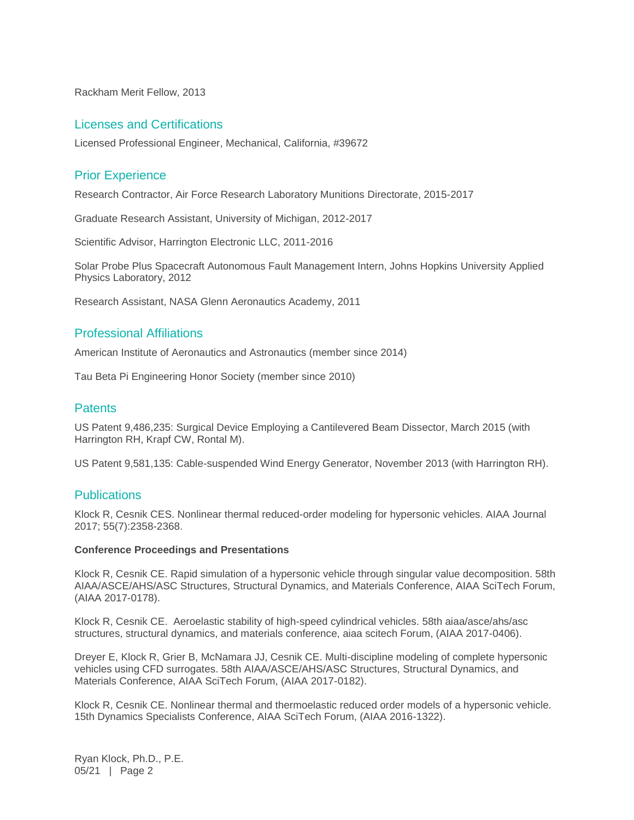Rackham Merit Fellow, 2013

#### Licenses and Certifications

Licensed Professional Engineer, Mechanical, California, #39672

## Prior Experience

Research Contractor, Air Force Research Laboratory Munitions Directorate, 2015-2017

Graduate Research Assistant, University of Michigan, 2012-2017

Scientific Advisor, Harrington Electronic LLC, 2011-2016

Solar Probe Plus Spacecraft Autonomous Fault Management Intern, Johns Hopkins University Applied Physics Laboratory, 2012

Research Assistant, NASA Glenn Aeronautics Academy, 2011

## Professional Affiliations

American Institute of Aeronautics and Astronautics (member since 2014)

Tau Beta Pi Engineering Honor Society (member since 2010)

#### **Patents**

US Patent 9,486,235: Surgical Device Employing a Cantilevered Beam Dissector, March 2015 (with Harrington RH, Krapf CW, Rontal M).

US Patent 9,581,135: Cable-suspended Wind Energy Generator, November 2013 (with Harrington RH).

#### **Publications**

Klock R, Cesnik CES. Nonlinear thermal reduced-order modeling for hypersonic vehicles. AIAA Journal 2017; 55(7):2358-2368.

#### **Conference Proceedings and Presentations**

Klock R, Cesnik CE. Rapid simulation of a hypersonic vehicle through singular value decomposition. 58th AIAA/ASCE/AHS/ASC Structures, Structural Dynamics, and Materials Conference, AIAA SciTech Forum, (AIAA 2017-0178).

Klock R, Cesnik CE. Aeroelastic stability of high-speed cylindrical vehicles. 58th aiaa/asce/ahs/asc structures, structural dynamics, and materials conference, aiaa scitech Forum, (AIAA 2017-0406).

Dreyer E, Klock R, Grier B, McNamara JJ, Cesnik CE. Multi-discipline modeling of complete hypersonic vehicles using CFD surrogates. 58th AIAA/ASCE/AHS/ASC Structures, Structural Dynamics, and Materials Conference, AIAA SciTech Forum, (AIAA 2017-0182).

Klock R, Cesnik CE. Nonlinear thermal and thermoelastic reduced order models of a hypersonic vehicle. 15th Dynamics Specialists Conference, AIAA SciTech Forum, (AIAA 2016-1322).

Ryan Klock, Ph.D., P.E. 05/21 | Page 2